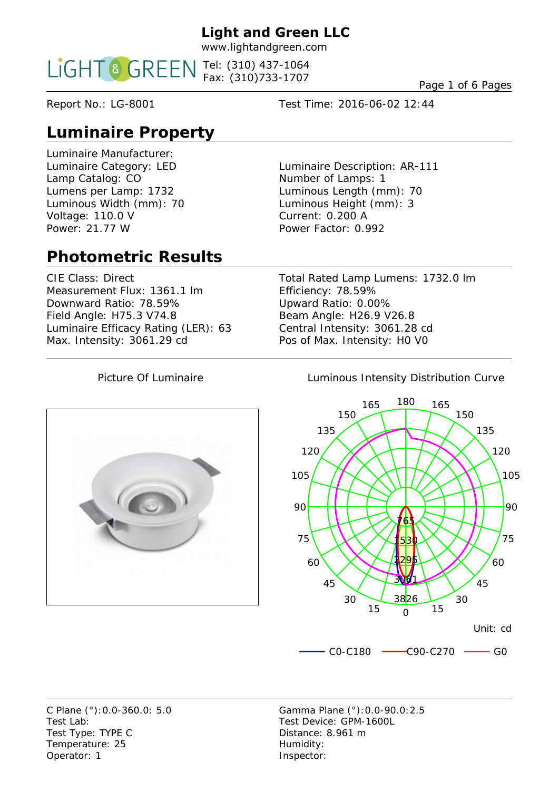www.lightandgreen.com

Tel: (310) 437-1064 Fax: (310)733-1707

Page 1 of 6 Pages

Report No.: LG-8001 Test Time: 2016-06-02 12:44

# **Luminaire Property**

Luminaire Manufacturer: Lamp Catalog: CO Number of Lamps: 1 Voltage: 110.0 V Current: 0.200 A Power: 21.77 W Power Factor: 0.992

Luminaire Category: LED Luminaire Description: AR-111 Lumens per Lamp: 1732 Luminous Length (mm): 70 Luminous Width (mm): 70 Luminous Height (mm): 3

# **Photometric Results**

Measurement Flux: 1361.1 Im Efficiency: 78.59% Downward Ratio: 78.59% Upward Ratio: 0.00% Field Angle: H75.3 V74.8 Beam Angle: H26.9 V26.8 Luminaire Efficacy Rating (LER): 63 Central Intensity: 3061.28 cd Max. Intensity: 3061.29 cd Pos of Max. Intensity: H0 V0

CIE Class: Direct Total Rated Lamp Lumens: 1732.0 lm



#### Picture Of Luminaire **Luminous Intensity Distribution Curve**



Test Lab: Test Device: GPM-1600L Test Type: TYPE C Distance: 8.961 m Temperature: 25 Humidity: Operator: 1 Inspector:

C Plane (°):0.0-360.0: 5.0 Gamma Plane (°):0.0-90.0:2.5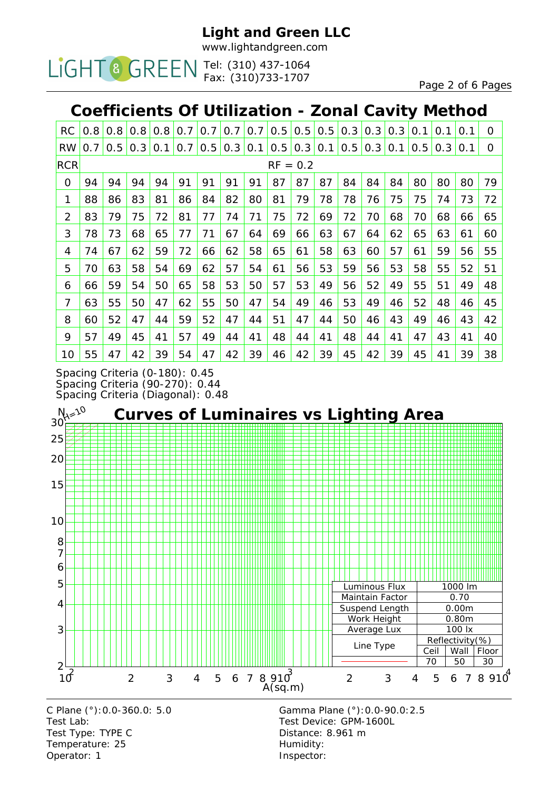www.lightandgreen.com

Tel: (310) 437-1064 Fax: (310)733-1707

Page 2 of 6 Pages

## **Coefficients Of Utilization - Zonal Cavity Method**

| <b>RC</b>      | 0.8        | 0.8 | 0.8 | 0.8 | 0.7 | 0.7 | 0.7 | 0.7 | 0.5 | 0.5 | 0.5 | 0.3 | 0.3 | 0.3 | 0.1 | 0.1 | 0.1 | O        |
|----------------|------------|-----|-----|-----|-----|-----|-----|-----|-----|-----|-----|-----|-----|-----|-----|-----|-----|----------|
| <b>RW</b>      | 0.7        | 0.5 | 0.3 | 0.1 | 0.7 | 0.5 | 0.3 | 0.1 | 0.5 | 0.3 | 0.1 | 0.5 | 0.3 | 0.1 | 0.5 | 0.3 | 0.1 | $\Omega$ |
| <b>RCR</b>     | $RF = 0.2$ |     |     |     |     |     |     |     |     |     |     |     |     |     |     |     |     |          |
| 0              | 94         | 94  | 94  | 94  | 91  | 91  | 91  | 91  | 87  | 87  | 87  | 84  | 84  | 84  | 80  | 80  | 80  | 79       |
| 1              | 88         | 86  | 83  | 81  | 86  | 84  | 82  | 80  | 81  | 79  | 78  | 78  | 76  | 75  | 75  | 74  | 73  | 72       |
| $\overline{2}$ | 83         | 79  | 75  | 72  | 81  | 77  | 74  | 71  | 75  | 72  | 69  | 72  | 70  | 68  | 70  | 68  | 66  | 65       |
| 3              | 78         | 73  | 68  | 65  | 77  | 71  | 67  | 64  | 69  | 66  | 63  | 67  | 64  | 62  | 65  | 63  | 61  | 60       |
| 4              | 74         | 67  | 62  | 59  | 72  | 66  | 62  | 58  | 65  | 61  | 58  | 63  | 60  | 57  | 61  | 59  | 56  | 55       |
| 5              | 70         | 63  | 58  | 54  | 69  | 62  | 57  | 54  | 61  | 56  | 53  | 59  | 56  | 53  | 58  | 55  | 52  | 51       |
| 6              | 66         | 59  | 54  | 50  | 65  | 58  | 53  | 50  | 57  | 53  | 49  | 56  | 52  | 49  | 55  | 51  | 49  | 48       |
| 7              | 63         | 55  | 50  | 47  | 62  | 55  | 50  | 47  | 54  | 49  | 46  | 53  | 49  | 46  | 52  | 48  | 46  | 45       |
| 8              | 60         | 52  | 47  | 44  | 59  | 52  | 47  | 44  | 51  | 47  | 44  | 50  | 46  | 43  | 49  | 46  | 43  | 42       |
| 9              | 57         | 49  | 45  | 41  | 57  | 49  | 44  | 41  | 48  | 44  | 41  | 48  | 44  | 41  | 47  | 43  | 41  | 40       |
| 10             | 55         | 47  | 42  | 39  | 54  | 47  | 42  | 39  | 46  | 42  | 39  | 45  | 42  | 39  | 45  | 41  | 39  | 38       |

Spacing Criteria (0-180): 0.45 Spacing Criteria (90-270): 0.44 Spacing Criteria (Diagonal): 0.48



Test Lab: Test Device: GPM-1600L Test Type: TYPE C Distance: 8.961 m Temperature: 25 Humidity: Operator: 1 Inspector:

C Plane (°):0.0-360.0: 5.0 Gamma Plane (°):0.0-90.0:2.5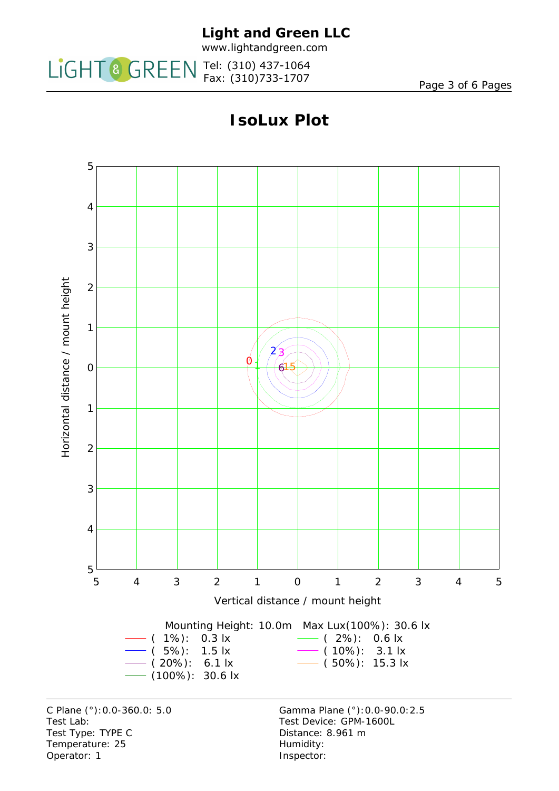

www.lightandgreen.com

Tel: (310) 437-1064 Fax: (310)733-1707

Page 3 of 6 Pages

# **IsoLux Plot**



Test Type: TYPE C Distance: 8.961 m Temperature: 25 Humidity: Operator: 1 Inspector: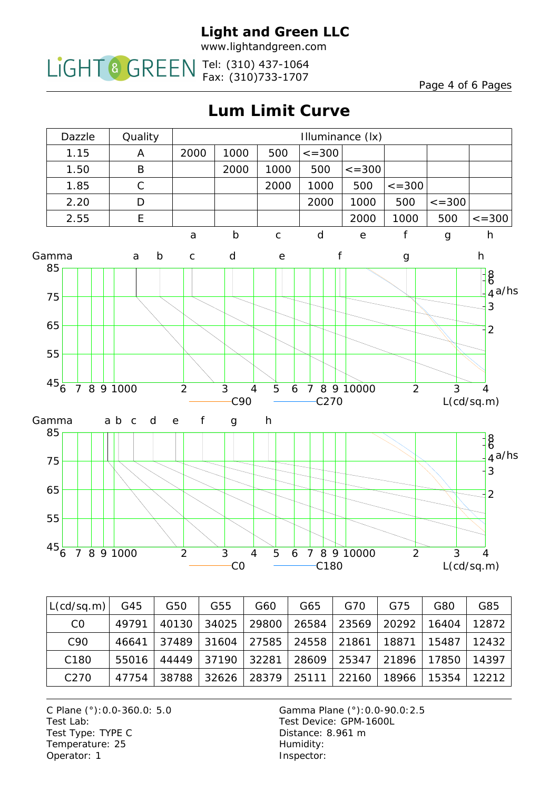www.lightandgreen.com

Tel: (310) 437-1064 Fax: (310)733-1707

Page 4 of 6 Pages

**Lum Limit Curve**



| L(c d/s q.m)     | G45   | G50   | G55   | G60   | G65   | G70   | G75   | G80   | G85   |
|------------------|-------|-------|-------|-------|-------|-------|-------|-------|-------|
| C <sub>0</sub>   | 49791 | 40130 | 34025 | 29800 | 26584 | 23569 | 20292 | 16404 | 12872 |
| C <sub>90</sub>  | 46641 | 37489 | 31604 | 27585 | 24558 | 21861 | 18871 | 15487 | 12432 |
| C <sub>180</sub> | 55016 | 44449 | 37190 | 32281 | 28609 | 25347 | 21896 | 17850 | 14397 |
| C <sub>270</sub> | 47754 | 38788 | 32626 | 28379 | 25111 | 22160 | 18966 | 15354 | 12212 |

C Plane (°):0.0-360.0: 5.0 Gamma Plane (°):0.0-90.0:2.5 Test Lab: Test Device: GPM-1600L Test Type: TYPE C Distance: 8.961 m Temperature: 25 Humidity: Operator: 1 Inspector: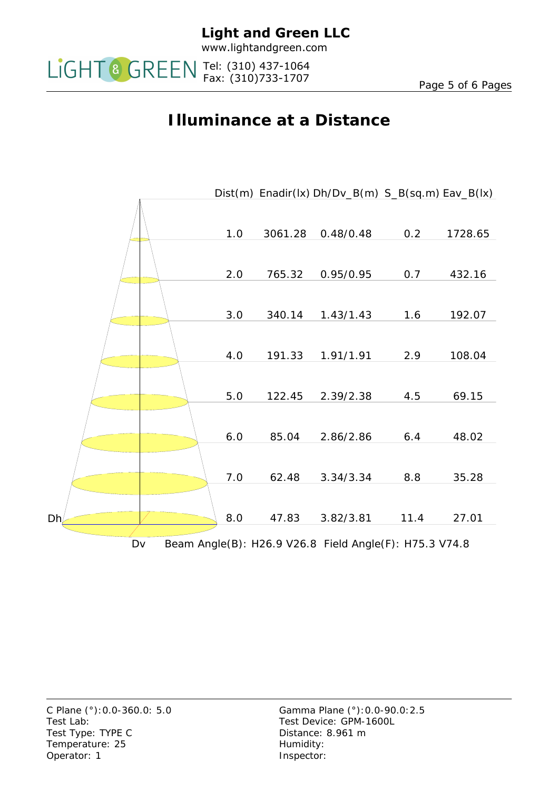

Tel: (310) 437-1064

Fax: (310)733-1707

# **Illuminance at a Distance**